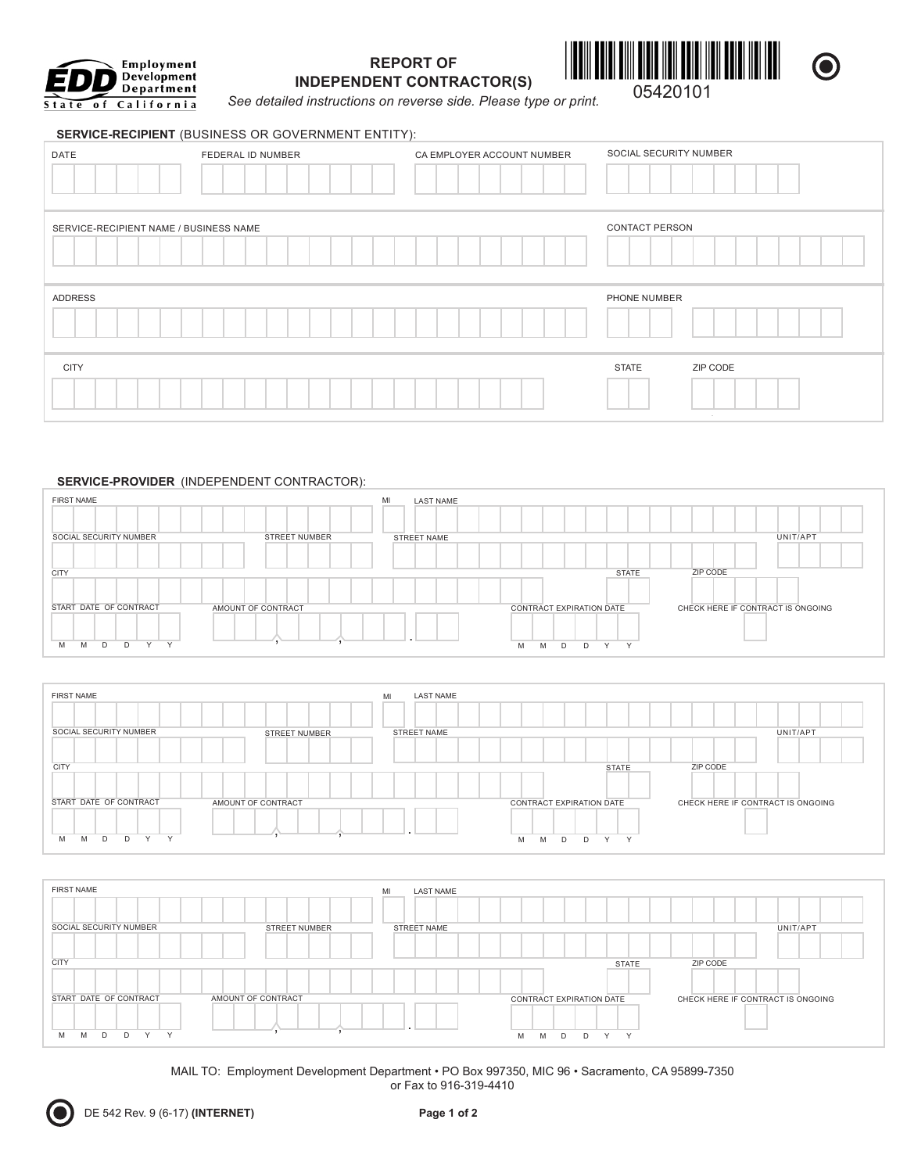

# **REPORT OF INDEPENDENT CONTRACTOR(S)**



**See detailed instructions on reverse side. Please type or print.** 05420101

#### **SERVICE-RECIPIENT** (BUSINESS OR GOVERNMENT ENTITY):

| DATE                                   | FEDERAL ID NUMBER | CA EMPLOYER ACCOUNT NUMBER | SOCIAL SECURITY NUMBER |
|----------------------------------------|-------------------|----------------------------|------------------------|
| SERVICE-RECIPIENT NAME / BUSINESS NAME |                   |                            | <b>CONTACT PERSON</b>  |
|                                        |                   |                            |                        |
| ADDRESS                                |                   |                            | PHONE NUMBER           |

## **SERVICE-PROVIDER** (INDEPENDENT CONTRACTOR):

| <b>FIRST NAME</b>               |                      | MI<br><b>LAST NAME</b> |                                               |                                   |
|---------------------------------|----------------------|------------------------|-----------------------------------------------|-----------------------------------|
|                                 |                      |                        |                                               |                                   |
| SOCIAL SECURITY NUMBER          | <b>STREET NUMBER</b> | STREET NAME            |                                               | UNIT/APT                          |
|                                 |                      |                        |                                               |                                   |
| <b>CITY</b>                     |                      |                        | <b>STATE</b>                                  | ZIP CODE                          |
|                                 |                      |                        |                                               |                                   |
| START DATE OF CONTRACT          | AMOUNT OF CONTRACT   |                        | CONTRACT EXPIRATION DATE                      | CHECK HERE IF CONTRACT IS ONGOING |
| Y<br>$\vee$<br>D<br>M<br>D<br>M |                      | . .                    | $\checkmark$<br>$\sqrt{}$<br>M<br>M<br>D<br>D |                                   |

| <b>FIRST NAME</b>                                | <b>LAST NAME</b><br>MI       |                                            |                                   |
|--------------------------------------------------|------------------------------|--------------------------------------------|-----------------------------------|
|                                                  |                              |                                            |                                   |
| SOCIAL SECURITY NUMBER                           | STREET NUMBER<br>STREET NAME |                                            | UNIT/APT                          |
|                                                  |                              |                                            |                                   |
| <b>CITY</b>                                      |                              | <b>STATE</b>                               | ZIP CODE                          |
|                                                  |                              |                                            |                                   |
| START DATE OF CONTRACT<br>AMOUNT OF CONTRACT     |                              | CONTRACT EXPIRATION DATE                   | CHECK HERE IF CONTRACT IS ONGOING |
|                                                  | . .                          |                                            |                                   |
| $\checkmark$<br>$\checkmark$<br>M<br>D<br>D<br>M |                              | $\lambda$<br>$\sqrt{}$<br>M<br>M<br>D<br>D |                                   |



MAIL TO: Employment Development Department . PO Box 997350, MIC 96 . Sacramento, CA 95899-7350 or Fax to 916-319-4410